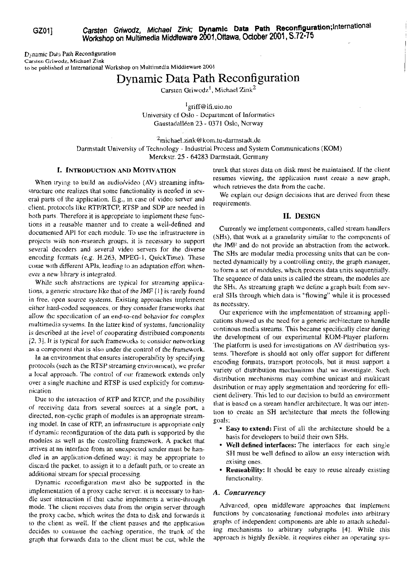GZ011

Carsten Griwodz, Michael Zink; Dynamic Data Path Reconfiguration;International Workshop on Multimedia Middleware 2001, Ottawa, October 2001, S.72-75

Dynamic Data Path Reconfiguration Carsten Griwodz, Michael Zink to be published at International Workshop on Multimedia Middleware 2001

**Dynamic Data Path Reconfiguration** 

Carsten Griwodz<sup>1</sup>, Michael Zink<sup>2</sup>

 $1<sub>griff@1f1.uio.no</sub>$ University of Oslo - Department of Informatics Gaustadalléen 23 - 0371 Oslo, Norway

<sup>2</sup>michael.zink@kom.tu-darmstadt.de Darmstadt University of Technology - Industrial Process and System Communications (KOM) Merckstr. 25 - 64283 Darmstadt, Germany

#### **I. INTRODUCTION AND MOTIVATION**

When trying to build an audio/video (AV) streaming infrastructure one realizes that some functionality is needed in several parts of the application. E.g., in case of video server and client, protocols like RTP/RTCP, RTSP and SDP are needed in both parts. Therefore it is appropriate to implement these functions in a reusable manner and to create a well-defined and documented API for each module. To use the infrastructure in projects with non-research groups, it is necessary to support several decoders and several video servers for the diverse encoding formats (e.g. H.263, MPEG-1, QuickTime). These come with different APIs, leading to an adaptation effort whenever a new library is integrated.

While such abstractions are typical for streaming applications, a generic structure like that of the JMF [1] is rarely found in free, open source systems. Existing approaches implement either hard-coded sequences, or they consider frameworks that allow the specification of an end-to-end behavior for complex multimedia systems. In the latter kind of systems, functionality is described at the level of cooperating distributed components [2, 3]. It is typical for such frameworks to consider networking as a component that is also under the control of the framework.

In an environment that ensures interoperability by specifying protocols (such as the RTSP streaming environment), we prefer a local approach. The control of our framework extends only over a single machine and RTSP is used explicitly for communication.

Due to the interaction of RTP and RTCP, and the possibility of receiving data from several sources at a single port, a directed, non-cyclic graph of modules is an appropriate streaming model. In case of RTP, an infrastructure is appropriate only if dynamic reconfiguration of the data path is supported by the modules as well as the controlling framework. A packet that arrives at an interface from an unexpected sender must be handled in an application-defined way: it may be appropriate to discard the packet, to assign it to a default path, or to create an additional stream for special processing.

Dynamic reconfiguration must also be supported in the implementation of a proxy cache server: it is necessary to handle user interaction if that cache implements a write-through mode. The client receives data from the origin server through the proxy cache, which writes the data to disk and forwards it to the client as well. If the client pauses and the application decides to continue the caching operation, the trunk of the graph that forwards data to the client must be cut, while the trunk that stores data on disk must be maintained. If the client resumes viewing, the application must create a new graph, which retrieves the data from the cache.

We explain our design decisions that are derived from these requirements.

#### **II. DESIGN**

Currently we implement components, called stream handlers (SHs), that work at a granularity similar to the components of the JMF and do not provide an abstraction from the network. The SHs are modular media processing units that can be connected dynamically by a controlling entity, the graph manager, to form a set of modules, which process data units sequentially. The sequence of data units is called the stream, the modules are the SHs. As streaming graph we define a graph built from several SHs through which data is "flowing" while it is processed as necessary.

Our experience with the implementation of streaming applications showed us the need for a generic architecture to handle continous media streams. This became specifically clear during the development of our experimental KOM-Player platform. The platform is used for investigations on AV distribution systems. Therefore is should not only offer support for different encoding formats, transport protocols, but it must support a variety of distribution mechanisms that we investigate. Such distribution mechanisms may combine unicast and multicast distribution or may apply segmentation and reordering for efficient delivery. This led to our decision to build an environment that is based on a stream handler architecture. It was our intention to create an SH architecture that meets the following goals:

- Easy to extend: First of all the architecture should be a basis for developers to build their own SHs.
- Well defined interfaces: The interfaces for each single SH must be well defined to allow an easy interaction with exising ones.
- **Reuseability:** It should be easy to reuse already existing functionality.

#### A. Concurrency

Advanced, open middleware approaches that implement functions by concatenating functional modules into arbitrary graphs of independent components are able to attach scheduling mechanisms to arbitrary subgraphs [4]. While this approach is highly flexible, it requires either an operating sys-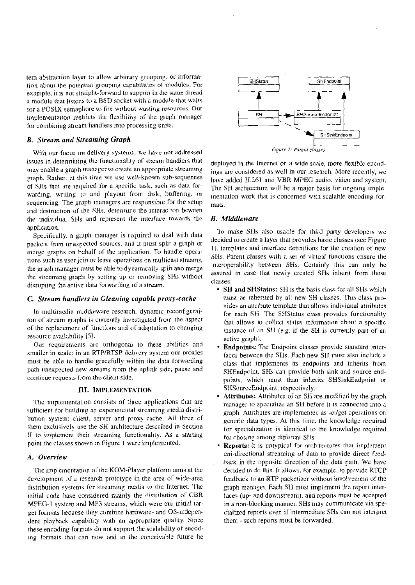tem abstraction layer to allow arbitrary grouping, or information about the potential grouping capabilities of modules. For example, it is not straight-forward to support in the same thread a module that listens to a BSD socket with a module that waits for a POSIX semaphore to fire without wasting resources. Our implementation restricts the flexibility of the graph manager for combining stream handlers into processing units.

# **B.** Stream and Streaming Graph

With our focus on delivery systems, we have not addressed issues in determining the functionality of stream handlers that may enable a graph manager to create an appropriate streaming graph. Rather, at this time we use well-known sub-sequences of SHs that are required for a specific task, such as data forwarding, writing to and playout from disk, buffering, or sequencing. The graph managers are responsible for the setup and destruction of the SHs, determine the interaction beween the individual SHs and represent the interface towards the application.

Specifically, a graph manager is required to deal with data packets from unexpected sources, and it must split a graph or incree graphs on behalf of the application. To handle operations such as user join or leave operations on multicast streams, the graph inanager must be able to dynamically split and merge the streaming graph by setting up or removing SHs without disrupting the active data forwarding of a stream.

#### C. Stream handlers in Gleaning capable proxy-cache

In multimedia middleware research, dynamic reconfiguraiton of stream graphs is currently investigated from the aspect of the replacement of functions and of adaptation to changing resource availability [5].

Our requirements are orthogonal to these abilities and smaller in scale: in an RTP/RTSP delivery system our proxies must be able to handle gracefully within the data forwarding path unexpected new streams from the uplink side, pause and continue requests from the client side.

## III. IMPLEMENTATION

The implementation consists of three applications that are sufficient for building an experimental streaming media distribution system: client, server and proxy-cache. All three of them exclusively use the SH architecture described in Section II to implement their streaming functionality. As a starting point the classes shown in Figure 1 were implemented.

## A. Overview

The implementation of the KOM-Player platform aims at the development of a research prototype in the area of wide-area distribution systems for streaming media in the Internet. The initial code base considered mainly the distribution of CBR MPEG-1 system and MP3 streams, which were our initial target formats because they combine hardware- and OS-independent playback capability with an appropriate quality. Since these encoding formats do not support the scalability of encoding formats that can now and in the conceivable future be



deployed in the Internet on a wide scale, more flexible encodings are considered as well in our research. More recently, we have added H.261 and VBR MPEG audio, video and system, The SH architecture will be a major basis for ongoing implementation work that is concerned with scalable encoding formats.

#### **B.** Middleware

To make SHs also usable for third party developers we decided to create a layer that provides basic classes (see Figure 1), templates and interface definitions for the creation of new SHs. Parent classes with a set of virtual functions cnsure the interoperability between SHs. Certainly this can only be assured in case that newly created SHs inherit from those classes.

- SH and SHStatus: SH is the basis class for all SHs which must be inherited by all new SH classes. This class provides an attribute template that allows individual attributes for each SH. The SHStatus class provides functionality that allows to collect status information about a specific instance of an SH (e.g. if the SH is currently part of an active graph).
- Endpoints: The Endpoint classes provide standard interfaces between the SHs. Each new SH must also include a class that implements its endpoints and inherits from SHEndpoint. SHs can provide both sink and source endpoints, which must than inherits SHSinkEndpoint or SHSourceEndpoint, respectively.
- **Attributes:** Attributes of an SH are modified by the graph manager to specialize an SH before it is connected into a graph. Attributes are implemented as set/get operations on generic data types. At this time, the knowledge required for specialization is identical to the knowledge required for chosing among different SHs.
- **Reports:** It is untypical for architectures that implement uni-directional streaming of data to provide direct feedback in the opposite direction of the data path. We have decided to do this. It allows, for example, to provide RTCP feedback to an RTP packetizer without involvement of the graph manager. Each SH must implement the report interfaces (up- and downstream), and reports must be accepted in a non-blocking manner. SHs may communicate via specialized reports even if intermediate SHs can not interpret them - such reports must be forwarded.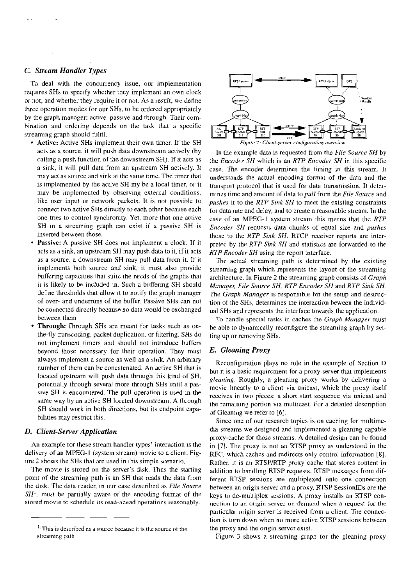# *C. Strearn Hartdler Types*

To deal with the concurrency issue, our implementation requires SHs to specify whether they implement an own clock or not, and whether they requiie it or not. As a result, we define three operation modes for our SHs. to be ordered appropriately by the graph manager: active, passive and through. Their comhination and ordering depends on the task that a specitic streaming graph should fulfil.

- **Active:** Aciive SHs implement their own timer. If the SH acts as a source, it will push data downstream actively (by calling a push function of ihe downstream SH). If it acts as a sink, it will pul1 data from an upsueam SH actively. It may act as source and sink ai the same time. The timer that is implemented by the active SH my be a local timer, or it may be implemented by observing external conditions, like user input or network packets. It is not possible to connect two active SHs directly to each other because each one tries to control synchronity. Yet, more that one active SH in a streaming graph can exist if a passive SH is inserred between those.
- Passive: A passive SH does not implement a clock. If it acts as a sink, an upstream SH may push data to it, if it acts as a source, a downstream SH may pull data from it. If it implements both source and sink, it must also provide buffering capacities that suite the nceds of the graphs that it is likely to be included in. Such a buffering SH should define thresholds that allow it to notify the graph manager of over- and underruns of the buifer. Passive SHs can not he connected direcily hecause no data would he exchanged hetween thern.
- **Through:** Through SHs are meant for tasks such as onthe-ily transcoding. packet duplication, or filtering. SHs do not implement timers and should not introduce buffers beyond thosc necessary for their operation. They must always implement a source as well as a sink. An arbitrary numher of them can he concatenated. An active SH that is located upstream will push data through this kind of SH, potentially through several more through SHs until a passive SH is encountered. The pul1 operation is used in the same way by an active SH located downstream. A through SH should work in both directions, but its endpoint capahilities rnay restrict this.

# *D. Client-Server Application*

An example for these stream handlei types' interaction is the delivery of an MPEG-1 (system stream) movie to a client. Figure **2** shows the SHs that are used in this simple scenario.

The movie is stored on the server's disk. Thus the starting point of the streaming path is an SH that reads the data from the disk. The data ieader, in our casc described as *File Source*   $SH<sup>1</sup>$ , must be partially aware of the encoding format of the stored movie to schedule its read-ahead operations reasonably.



In the example data is requested from the *File Source SH* hy the *Encoder SH* which is an *RTP Encoder SH* in this specific case. The encoder dctermines the timing in this stream. It understands the actual encoding format of the data and the transport protocol that is used for data transmission. It deterrnincs time and amount of daia to *pul1* from the *File Source* and *pushes* it to the *RTP Sink SH* to meet the existing constraints for data rate and delay, and to create a reasonable stream. In the case of an MPEG-1 system stream this means that the *RTP Ericoder SH* requesis data chunks of equal size and *pushes*  those io the *RTP Sirik SH.* RTCP receiver reports are interpreted by the *RTP Sink SH* and statistics are forwarded to the *RTP Encoder SH* using the report interface.

The actual streaming path is determined by the existing streaming graph which repiesents the layout of the streaming architecture. In Figure 2 the streaming graph consists of *Graph Mariogrr; File Soiirce SH, RTP Encoder SH* and *RTP Sink SH*  The *Graph Manager* is responsible for the setup and destruction of the SHs, determines the interaction beween the individual SHs and represents the interface towards the application.

To handle special tasks in caches the *Gruph Manager* must be able to dynamically reconfigure the streaming graph by setting up or removing SHs.

## *E. Gleatiing Proxy*

Reconfiguration plays no role in the example of Section D hut it is a basic requirement for a proxy server that implements *gleaning.* Roughly, a gleaning proxy works by delivering a movie linearly to a client via unicast, which the proxy itself receives in two pieces: a short start sequence via unicast and ihe remaining portion via multicast. For a detailed description of Gleaning we refei to **[6]** 

Since one of our research topics is on caching for multimedia streams we designed and implemented a gleaning capable proxy-cache for those strearns. **A** detailcd design can hc found in **[7].** The proxy is not an RTSP proxy as understood in the RFC, which caches and redirects only control information [8]. Rather, it is an RTSPIRTP proxy cache that stores content in addition to handling RTSP requests. RTSP messages from different RTSP sessions are multiplexed onto one connection between an origin server and a proxy. RTSP SessionIDs are the keys to de-multiplex sessions. A proxy installs an RTSP connection to an origin scrver on-damand when a requesi for the particular origin server is received froin **a** client. The connection is torn down when no more active RTSP sessions between the proxy and the origin servcr exist.

Figure 3 shows a streaming graph for the gleaning proxy

This **is** descibcd **as** a sourcc hecause it is the source of the streaming path.